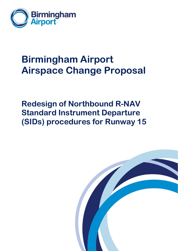

# **Birmingham Airport Airspace Change Proposal**

**Redesign of Northbound R-NAV Standard Instrument Departure (SIDs) procedures for Runway 15**

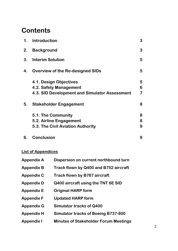# **Contents**

| 1. | <b>Introduction</b>                           | 3              |
|----|-----------------------------------------------|----------------|
| 2. | <b>Background</b>                             | 3              |
| 3. | <b>Interim Solution</b>                       | 5              |
| 4. | <b>Overview of the Re-designed SIDs</b>       | 5              |
|    | 4.1. Design Objectives                        | 5              |
|    | 4.2. Safety Management                        | 6              |
|    | 4.3. SID Development and Simulator Assessment | $\overline{7}$ |
| 5. | <b>Stakeholder Engagement</b>                 | 8              |
|    | 5.1. The Community                            | 8              |
|    | 5.2. Airline Engagement                       | 8              |
|    | 5.3. The Civil Aviation Authority             | 9              |
| 6. | <b>Conclusion</b>                             | 9              |

# **List of Appendices**

| <b>Appendix A</b> | Dispersion on current northbound turn        |
|-------------------|----------------------------------------------|
| <b>Appendix B</b> | Track flown by Q400 and B752 aircraft        |
| <b>Appendix C</b> | <b>Track flown by B787 aircraft</b>          |
| <b>Appendix D</b> | Q400 aircraft using the TNT 6E SID           |
| <b>Appendix E</b> | <b>Original HARP form</b>                    |
| <b>Appendix F</b> | <b>Updated HARP form</b>                     |
| <b>Appendix G</b> | Simulator tracks of Q400                     |
| <b>Appendix H</b> | <b>Simulator tracks of Boeing B737-800</b>   |
| <b>Appendix I</b> | <b>Minutes of Stakeholder Forum Meetings</b> |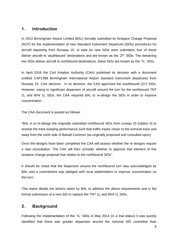### **1. Introduction**

In 2013 Birmingham Airport Limited (BAL) formally submitted its Airspace Change Proposal (ACP) for the implementation of new Standard Instrument Departure (SIDs) procedures for aircraft departing from Runway 15. In total six new SIDs were submitted, four of these deliver aircraft to 'southbound' destinations and are known as the '2Y' SIDs. The remaining two SIDs deliver aircraft to northbound destinations, these SIDs are known as the '1L' SIDs.

In April 2016 the Civil Aviation Authority (CAA) published its decision with a document entitled CAP1398 Birmingham International Airport standard instrument departures from Runway 15: CAA decision. In its decision, the CAA approved the southbound (2Y) SIDs. However, owing to significant dispersion of aircraft around the turn for the northbound TNT 1L and WHI 1L SIDs, the CAA required BAL to re-design the SIDs in order to improve concentration.

The CAA document is quoted as follows:

"BAL is to re-design the originally submitted northbound SIDs from runway 15 (Option 4) to resolve the track keeping performance such that traffic tracks closer to the nominal track and away from the north side of Balsall Common (as originally proposed and consulted upon).

Once the designs have been completed the CAA will assess whether the re designs require a new consultation. The CAA will then consider whether to approve that element of this airspace change proposal that relates to the northbound SIDs".

It should be noted that the dispersion around the northbound turn was acknowledged by BAL and a commitment was pledged with local stakeholders to improve concentration on this turn.

This report details the actions taken by BAL to address the above requirements and is the formal submission of a new SID to replace the TNT 1L and WHI 1L SIDs.

# **2. Background**

Following the implementation of the '1L' SIDs in May 2014 (in a trial status) it was quickly identified that there was greater dispersion around the nominal SID centreline than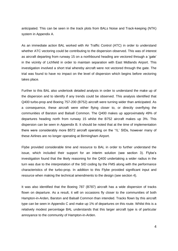anticipated. This can be seen in the track plots from BALs Noise and Track-keeping (NTK) system in Appendix A.

As an immediate action BAL worked with Air Traffic Control (ATC) in order to understand whether ATC vectoring could be contributing to the dispersion observed. This was of interest as aircraft departing from runway 15 on a northbound heading are vectored through a 'gate' in the vicinity of Lichfield in order to maintain separation with East Midlands Airport. This investigation involved a short trial whereby aircraft were not vectored through the gate. The trial was found to have no impact on the level of dispersion which begins before vectoring takes place.

Further to this BAL also undertook detailed analysis in order to understand the make up of the dispersion and to identify if any trends could be observed. This analysis identified that Q400 turbo-prop and Boeing 757-200 (B752) aircraft were turning wider than anticipated. As a consequence, these aircraft were either flying closer to, or directly overflying the communities of Barston and Balsall Common. The Q400 makes up approximately 49% of departures heading north from runway 15 whilst the B752 aircraft makes up 3%. This dispersion can be seen in Appendix B. It should be noted that at the time of implementation there were considerably more B572 aircraft operating on the '1L' SIDs, however many of these Airlines are no longer operating at Birmingham Airport.

Flybe provided considerable time and resource to BAL in order to further understand the issue, which included their support for an interim solution (see section 3). Flybe's investigation found that the likely reasoning for the Q400 undertaking a wider radius in the turn was due to the interpretation of the SID coding by the FMS along with the performance characteristics of the turbo-prop. In addition to this Flybe provided significant input and resource when making the technical amendments to the design (see section 4).

It was also identified that the Boeing 787 (B787) aircraft has a wide dispersion of tracks flown on departure. As a result, it will on occasions fly closer to the communities of both Hampton-in-Arden, Barston and Balsall Common than intended. Tracks flown by this aircraft type can be seen in Appendix C and make up 1% of departures on this route. Whilst this is a relatively modest percentage BAL understands that this larger aircraft type is of particular annoyance to the community of Hampton-in-Arden.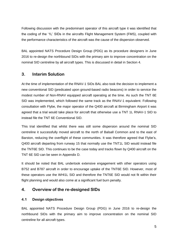Following discussion with the predominant operator of this aircraft type it was identified that the coding of the '1L' SIDs in the aircrafts Flight Management System (FMS), coupled with the performance characteristics of the aircraft was the cause of the dispersion observed.

BAL appointed NATS Procedure Design Group (PDG) as its procedure designers in June 2016 to re-design the northbound SIDs with the primary aim to improve concentration on the nominal SID centreline by all aircraft types. This is discussed in detail in Section 4.

# **3. Interim Solution**

At the time of implementation of the RNAV-1 SIDs BAL also took the decision to implement a new conventional SID (predicated upon ground-based radio beacons) in order to service the modest number of Non-RNAV equipped aircraft operating at the time. As such the TNT 6E SID was implemented, which followed the same track as the RNAV-1 equivalent. Following consultation with Flybe, the major operator of the Q400 aircraft at Birmingham Airport it was agreed that a trial would take place for aircraft that otherwise use a TNT 1L RNAV-1 SID to instead file the TNT 6E Conventional SID.

This trial identified that whilst there was still some dispersion around the nominal SID centreline it successfully moved aircraft to the north of Balsall Common and to the east of Barston, reducing the overflight of these communities. It was therefore agreed that Flybe's, Q400 aircraft departing from runway 15 that normally use the TNT1L SID would instead file the TNT6E SID. This continues to be the case today and tracks flown by Q400 aircraft on the TNT 6E SID can be seen in Appendix D.

It should be noted that BAL undertook extensive engagement with other operators using B752 and B787 aircraft in order to encourage uptake of the TNT6E SID. However, most of these operators use the WHI1L SID and therefore the TNT6E SID would not fit within their flight planning and would also come at a significant fuel burn penalty.

# **4. Overview of the re-designed SIDs**

#### **4.1 Design objectives**

BAL appointed NATS Procedure Design Group (PDG) in June 2016 to re-design the northbound SIDs with the primary aim to improve concentration on the nominal SID centreline for all aircraft types.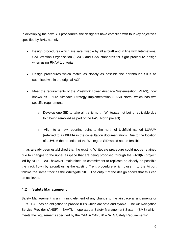In developing the new SID procedures, the designers have complied with four key objectives specified by BAL, namely:

- Design procedures which are safe, flyable by all aircraft and in line with International Civil Aviation Organisation (ICAO) and CAA standards for flight procedure design when using RNAV-1 criteria
- Design procedures which match as closely as possible the northbound SIDs as submitted within the original ACP
- Meet the requirements of the Prestwick Lower Airspace Systemisation (PLAS), now known as Future Airspace Strategy Implementation (FASI) North, which has two specific requirements:
	- o Develop one SID to take all traffic north (Whitegate not being replicable due to it being removed as part of the FASI North project)
	- o Align to a new reporting point to the north of Lichfield named LUVUM (referred to as BIMBA in the consultation documentation). Due to the location of LUVUM the retention of the Whitegate SID would not be feasible.

It has already been established that the existing Whitegate procedure could not be retained due to changes to the upper airspace that are being proposed through the FASI(N) project, led by NERL. BAL, however, maintained its commitment to replicate as closely as possible the track flown by aircraft using the existing Trent procedure which close in to the Airport follows the same track as the Whitegate SID. The output of the design shows that this can be achieved.

#### **4.2 Safety Management**

Safety Management is an intrinsic element of any change to the airspace arrangements or IFPs. BAL has an obligation to provide IFPs which are safe and flyable. The Air Navigation Service Provider (ANSP) – BAATL – operates a Safety Management System (SMS) which meets the requirements specified by the CAA in CAP670 – "ATS Safety Requirements".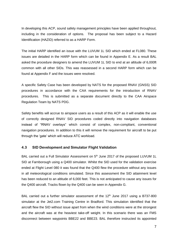In developing this ACP, sound safety management principles have been applied throughout, including in the consideration of options. The proposal has been subject to a Hazard Identification (HAZID) referred to as a HARP Form.

The initial HARP identified an issue with the LUVUM 1L SID which ended at FL080. These issues are detailed in the HARP form which can be found in Appendix E. As a result BAL asked the procedure designers to amend the LUVUM 1L SID to end at an altitude of 6,000ft common with all other SIDs. This was reassessed in a second HARP form which can be found at Appendix F and the issues were resolved.

A specific Safety Case has been developed by NATS for the proposed RNAV (GNSS) SID procedures in accordance with the CAA requirements for the introduction of RNAV procedures. This is submitted as a separate document directly to the CAA Airspace Regulation Team by NATS PDG.

Safety benefits will accrue to airspace users as a result of this ACP as it will enable the use of correctly designed RNAV SID procedures coded directly into navigation databases instead of "RNAV overlays" which consist of complex, non-compliant, conventional navigation procedures. In addition to this it will remove the requirement for aircraft to be put through the 'gate' which will reduce ATC workload.

#### **4.3 SID Development and Simulator Flight Validation**

BAL carried out a Full Simulator Assessment on 5<sup>th</sup> June 2017 of the proposed LUVUM 1L SID at Farnborough using a Q400 simulator. Whilst the SID used for the validation exercise ended at Flight Level 080 it was found that the Q400 flew the procedure without any issues in all meteorological conditions simulated. Since this assessment the SID attainment level has been reduced to an altitude of 6,000 feet. This is not anticipated to cause any issues for the Q400 aircraft. Tracks flown by the Q400 can be seen in Appendix G.

BAL carried out a further simulator assessment of the  $12<sup>th</sup>$  June 2017 using a B737-800 simulator at the Jet2.com Training Centre in Bradford. This simulation identified that the aircraft flew the SID without issue apart from when the wind conditions were at the strongest and the aircraft was at the heaviest take-off weight. In this scenario there was an FMS disconnect between waypoints BBE22 and BBE23. BAL therefore instructed its appointed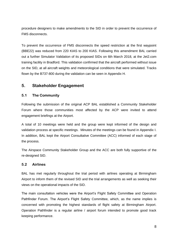procedure designers to make amendments to the SID in order to prevent the occurrence of FMS disconnects.

To prevent the occurrence of FMS disconnects the speed restriction at the first waypoint (BBE22) was reduced from 220 KIAS to 200 KIAS. Following this amendment BAL carried out a further Simulator Validation of its proposed SIDs on 6th March 2018, at the Jet2.com training facility in Bradford. This validation confirmed that the aircraft performed without issue on the SID, at all aircraft weights and meteorological conditions that were simulated. Tracks flown by the B737-800 during the validation can be seen in Appendix H.

# **5. Stakeholder Engagement**

#### **5.1 The Community**

Following the submission of the original ACP BAL established a Community Stakeholder Forum where those communities most affected by the ACP were invited to attend engagement briefings at the Airport.

A total of 10 meetings were held and the group were kept informed of the design and validation process at specific meetings. Minutes of the meetings can be found in Appendix I. In addition, BAL kept the Airport Consultative Committee (ACC) informed of each stage of the process.

The Airspace Community Stakeholder Group and the ACC are both fully supportive of the re-designed SID.

#### **5.2 Airlines**

BAL has met regularly throughout the trial period with airlines operating at Birmingham Airport to inform them of the revised SID and the trial arrangements as well as seeking their views on the operational impacts of the SID.

The main consultation vehicles were the Airport's Flight Safety Committee and Operation Pathfinder Forum. The Airport's Flight Safety Committee, which, as the name implies is concerned with promoting the highest standards of flight safety at Birmingham Airport. Operation Pathfinder is a regular airline / airport forum intended to promote good track keeping performance.